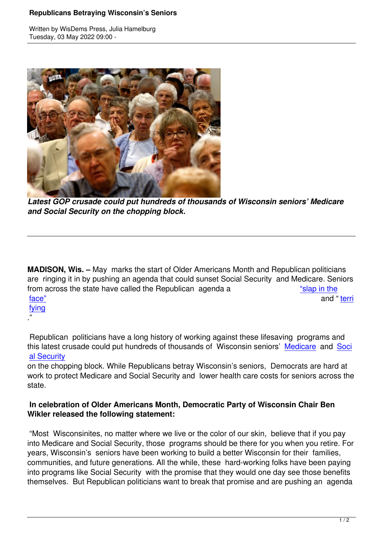Written by WisDems Press, Julia Hamelburg



*Latest GOP crusade could put hundreds of thousands of Wisconsin seniors' Medicare and Social Security on the chopping block.*

**MADISON, Wis. –** May marks the start of Older Americans Month and Republican politicians are ringing it in by pushing an agenda that could sunset Social Security and Medicare. Seniors from across the state have called the Republican agenda a "slap in the face" and " territorial terms of the state of the state of the state of the state of the state of the state of fying

."

 [Repu](https://wisdems.us1.list-manage.com/track/click?u=5fdce0a26f89c28febc13998d&id=6a3c14771a&e=c8d9c6b5a0)blican politicians have a long history of working against these lifesaving programs a[nd](https://wisdems.us1.list-manage.com/track/click?u=5fdce0a26f89c28febc13998d&id=6a3c14771a&e=c8d9c6b5a0) this latest crusade could put hundreds of thousands of Wisconsin seniors' Medicare and Soci al Security

on the chopping block. While Republicans betray Wisconsin's seniors, Democrats are hard at work to protect Medicare and Social Security and lower health care costs f[or seniors](https://wisdems.us1.list-manage.com/track/click?u=5fdce0a26f89c28febc13998d&id=43a81f71a4&e=c8d9c6b5a0) acro[ss the](https://wisdems.us1.list-manage.com/track/click?u=5fdce0a26f89c28febc13998d&id=10480671b3&e=c8d9c6b5a0) [state.](https://wisdems.us1.list-manage.com/track/click?u=5fdce0a26f89c28febc13998d&id=10480671b3&e=c8d9c6b5a0) 

## **In celebration of Older Americans Month, Democratic Party of Wisconsin Chair Ben Wikler released the following statement:**

 "Most Wisconsinites, no matter where we live or the color of our skin, believe that if you pay into Medicare and Social Security, those programs should be there for you when you retire. For years, Wisconsin's seniors have been working to build a better Wisconsin for their families, communities, and future generations. All the while, these hard-working folks have been paying into programs like Social Security with the promise that they would one day see those benefits themselves. But Republican politicians want to break that promise and are pushing an agenda